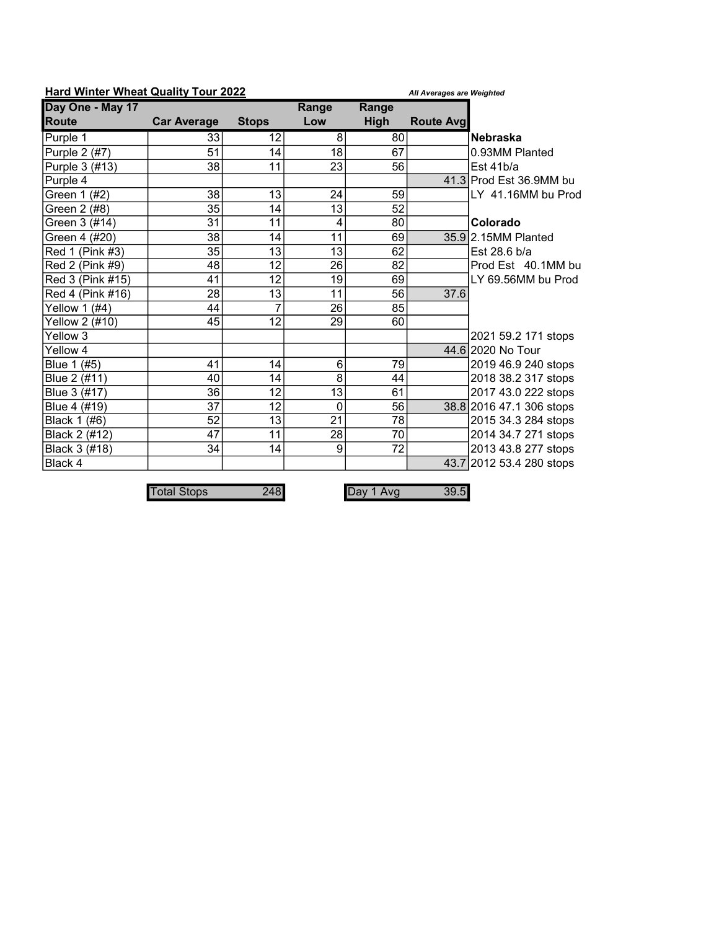| Hard Willier Wileat Quality Tour 2022 |                    |                | All Averages are Weighted |                 |                   |                          |
|---------------------------------------|--------------------|----------------|---------------------------|-----------------|-------------------|--------------------------|
| Day One - May 17                      |                    |                | Range                     | Range           |                   |                          |
| <b>Route</b>                          | <b>Car Average</b> | <b>Stops</b>   | Low                       | <b>High</b>     | <b>Route Avgl</b> |                          |
| Purple 1                              | 33                 | 12             | 8                         | 80              |                   | <b>Nebraska</b>          |
| Purple 2 (#7)                         | 51                 | 14             | 18                        | 67              |                   | 0.93MM Planted           |
| Purple 3 (#13)                        | 38                 | 11             | 23                        | 56              |                   | Est 41b/a                |
| Purple 4                              |                    |                |                           |                 |                   | 41.3 Prod Est 36.9MM bu  |
| Green 1 (#2)                          | 38                 | 13             | 24                        | 59              |                   | LY 41.16MM bu Prod       |
| Green 2 (#8)                          | 35                 | 14             | 13                        | 52              |                   |                          |
| Green 3 (#14)                         | 31                 | 11             | $\overline{4}$            | 80              |                   | Colorado                 |
| Green 4 (#20)                         | 38                 | 14             | 11                        | 69              |                   | 35.9 2.15MM Planted      |
| Red 1 (Pink #3)                       | 35                 | 13             | 13                        | 62              |                   | Est 28.6 b/a             |
| Red 2 (Pink #9)                       | 48                 | 12             | 26                        | 82              |                   | Prod Est 40.1MM bu       |
| Red 3 (Pink #15)                      | 41                 | 12             | 19                        | 69              |                   | LY 69.56MM bu Prod       |
| Red 4 (Pink #16)                      | $\overline{28}$    | 13             | $\overline{11}$           | 56              | 37.6              |                          |
| Yellow 1 (#4)                         | 44                 | $\overline{7}$ | 26                        | 85              |                   |                          |
| Yellow 2 (#10)                        | 45                 | 12             | 29                        | 60              |                   |                          |
| Yellow 3                              |                    |                |                           |                 |                   | 2021 59.2 171 stops      |
| Yellow 4                              |                    |                |                           |                 |                   | 44.6 2020 No Tour        |
| Blue 1 (#5)                           | 41                 | 14             | $6\phantom{1}6$           | 79              |                   | 2019 46.9 240 stops      |
| Blue 2 (#11)                          | 40                 | 14             | 8                         | 44              |                   | 2018 38.2 317 stops      |
| Blue 3 (#17)                          | $\overline{36}$    | 12             | $\overline{13}$           | 61              |                   | 2017 43.0 222 stops      |
| Blue 4 (#19)                          | 37                 | 12             | $\mathbf 0$               | 56              |                   | 38.8 2016 47.1 306 stops |
| Black 1 (#6)                          | 52                 | 13             | $\overline{21}$           | $\overline{78}$ |                   | 2015 34.3 284 stops      |
| Black 2 (#12)                         | 47                 | 11             | 28                        | 70              |                   | 2014 34.7 271 stops      |
| Black 3 (#18)                         | 34                 | 14             | 9                         | $\overline{72}$ |                   | 2013 43.8 277 stops      |
| Black 4                               |                    |                |                           |                 |                   | 43.7 2012 53.4 280 stops |

Hard Winter Wheat Quality Tour 2022 All Averages are Weighted

Total Stops 248 Day 1 Avg 39.5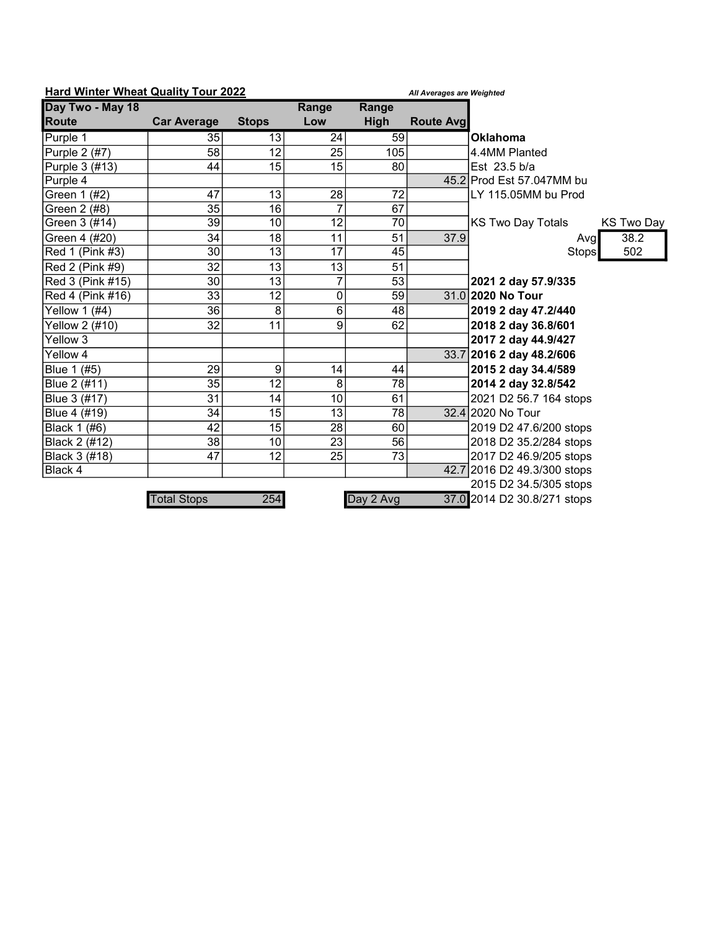|                  | <b>Hard Winter Wheat Quality Tour 2022</b><br>All Averages are Weighted |                 |                 |             |                   |                                               |
|------------------|-------------------------------------------------------------------------|-----------------|-----------------|-------------|-------------------|-----------------------------------------------|
| Day Two - May 18 |                                                                         |                 | Range           | Range       |                   |                                               |
| <b>Route</b>     | <b>Car Average</b>                                                      | <b>Stops</b>    | Low             | <b>High</b> | <b>Route Avgl</b> |                                               |
| Purple 1         | 35                                                                      | 13              | 24              | 59          |                   | <b>Oklahoma</b>                               |
| Purple 2 (#7)    | 58                                                                      | 12              | 25              | 105         |                   | 4.4MM Planted                                 |
| Purple 3 (#13)   | 44                                                                      | 15              | 15              | 80          |                   | Est 23.5 b/a                                  |
| Purple 4         |                                                                         |                 |                 |             |                   | 45.2 Prod Est 57.047MM bu                     |
| Green 1 (#2)     | 47                                                                      | 13              | 28              | 72          |                   | LY 115.05MM bu Prod                           |
| Green 2 (#8)     | 35                                                                      | 16              | 7               | 67          |                   |                                               |
| Green 3 (#14)    | 39                                                                      | 10              | 12              | 70          |                   | <b>KS Two Day Totals</b><br><b>KS Two Day</b> |
| Green 4 (#20)    | 34                                                                      | 18              | 11              | 51          | 37.9              | 38.2<br>Avgl                                  |
| Red 1 (Pink #3)  | 30                                                                      | $\overline{13}$ | $\overline{17}$ | 45          |                   | 502<br>Stops                                  |
| Red 2 (Pink #9)  | 32                                                                      | 13              | 13              | 51          |                   |                                               |
| Red 3 (Pink #15) | 30                                                                      | 13              | $\overline{7}$  | 53          |                   | 2021 2 day 57.9/335                           |
| Red 4 (Pink #16) | 33                                                                      | $\overline{12}$ | 0               | 59          |                   | 31.0 2020 No Tour                             |
| Yellow 1 (#4)    | 36                                                                      | 8               | 6               | 48          |                   | 2019 2 day 47.2/440                           |
| Yellow 2 (#10)   | 32                                                                      | 11              | 9               | 62          |                   | 2018 2 day 36.8/601                           |
| Yellow $3$       |                                                                         |                 |                 |             |                   | 2017 2 day 44.9/427                           |
| Yellow 4         |                                                                         |                 |                 |             |                   | 33.7 2016 2 day 48.2/606                      |
| Blue 1 (#5)      | 29                                                                      | 9               | 4               | 44          |                   | 2015 2 day 34.4/589                           |
| Blue 2 (#11)     | 35                                                                      | 12              | 8               | 78          |                   | 2014 2 day 32.8/542                           |
| Blue 3 (#17)     | 31                                                                      | 14              | 10              | 61          |                   | 2021 D2 56.7 164 stops                        |
| Blue 4 (#19)     | 34                                                                      | 15              | 13              | 78          |                   | 32.4 2020 No Tour                             |
| Black 1 (#6)     | 42                                                                      | 15              | 28              | 60          |                   | 2019 D2 47.6/200 stops                        |
| Black 2 (#12)    | 38                                                                      | 10              | 23              | 56          |                   | 2018 D2 35.2/284 stops                        |
| Black 3 (#18)    | 47                                                                      | 12              | 25              | 73          |                   | 2017 D2 46.9/205 stops                        |
| Black 4          |                                                                         |                 |                 |             |                   | 42.7 2016 D2 49.3/300 stops                   |
|                  |                                                                         |                 |                 |             |                   | 2015 D2 34.5/305 stops                        |
|                  | <b>Total Stops</b>                                                      | 254             |                 | Day 2 Avg   |                   | 37.0 2014 D2 30.8/271 stops                   |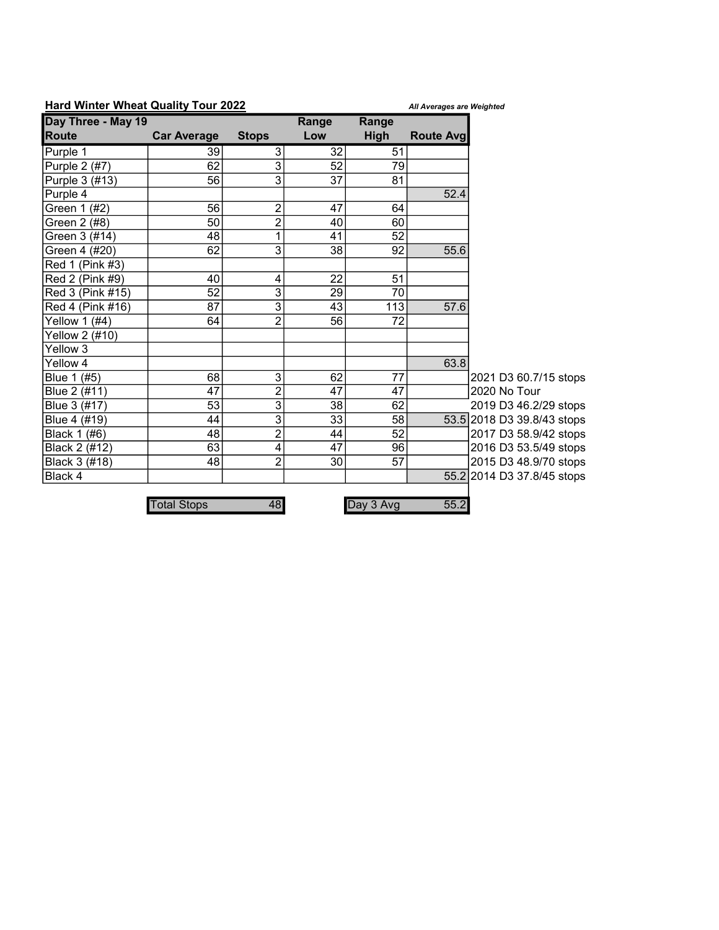## Hard Winter Wheat Quality Tour 2022 All Averages are Weighted

| Day Three - May 19 |                    |                | Range | Range       |                  |                            |
|--------------------|--------------------|----------------|-------|-------------|------------------|----------------------------|
| <b>Route</b>       | <b>Car Average</b> | <b>Stops</b>   | Low   | <b>High</b> | <b>Route Avg</b> |                            |
| Purple 1           | 39                 | 3              | 32    | 51          |                  |                            |
| Purple 2 (#7)      | 62                 | 3              | 52    | 79          |                  |                            |
| Purple 3 (#13)     | 56                 | 3              | 37    | 81          |                  |                            |
| Purple 4           |                    |                |       |             | 52.4             |                            |
| Green 1 (#2)       | 56                 | $\overline{c}$ | 47    | 64          |                  |                            |
| Green 2 (#8)       | 50                 | $\overline{c}$ | 40    | 60          |                  |                            |
| Green 3 (#14)      | 48                 | $\overline{1}$ | 41    | 52          |                  |                            |
| Green 4 (#20)      | 62                 | 3              | 38    | 92          | 55.6             |                            |
| Red 1 (Pink #3)    |                    |                |       |             |                  |                            |
| Red 2 (Pink #9)    | 40                 | 4              | 22    | 51          |                  |                            |
| Red 3 (Pink #15)   | 52                 | 3              | 29    | 70          |                  |                            |
| Red 4 (Pink #16)   | 87                 | 3              | 43    | 113         | 57.6             |                            |
| Yellow 1 (#4)      | 64                 | $\overline{c}$ | 56    | 72          |                  |                            |
| Yellow 2 (#10)     |                    |                |       |             |                  |                            |
| Yellow 3           |                    |                |       |             |                  |                            |
| Yellow 4           |                    |                |       |             | 63.8             |                            |
| Blue 1 (#5)        | 68                 | 3              | 62    | 77          |                  | 2021 D3 60.7/15 stops      |
| Blue 2 (#11)       | $\overline{47}$    | $\overline{2}$ | 47    | 47          |                  | 2020 No Tour               |
| Blue 3 (#17)       | 53                 | 3              | 38    | 62          |                  | 2019 D3 46.2/29 stops      |
| Blue 4 (#19)       | 44                 | $\overline{3}$ | 33    | 58          |                  | 53.5 2018 D3 39.8/43 stops |
| Black 1 (#6)       | 48                 | $\overline{c}$ | 44    | 52          |                  | 2017 D3 58.9/42 stops      |
| Black 2 (#12)      | 63                 | 4              | 47    | 96          |                  | 2016 D3 53.5/49 stops      |
| Black 3 (#18)      | 48                 | $\overline{2}$ | 30    | 57          |                  | 2015 D3 48.9/70 stops      |
| Black 4            |                    |                |       |             |                  | 55.2 2014 D3 37.8/45 stops |
|                    |                    |                |       |             |                  |                            |
|                    | <b>Total Stops</b> | 48             |       | Day 3 Avg   | 55.2             |                            |